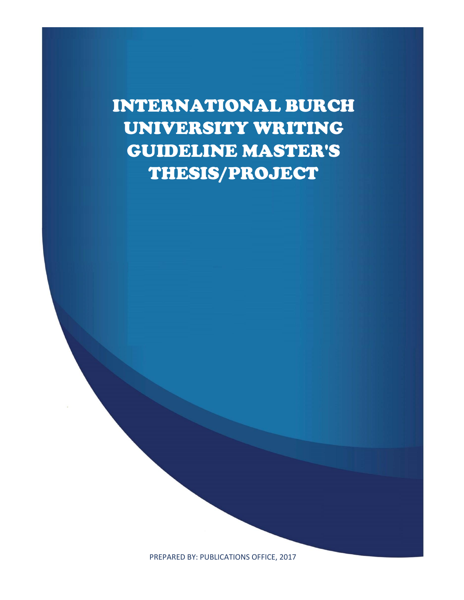INTERNATIONAL BURCH UNIVERSITY WRITING GUIDELINE MASTER'S THESIS/PROJECT

PREPARED BY: PUBLICATIONS OFFICE, 2017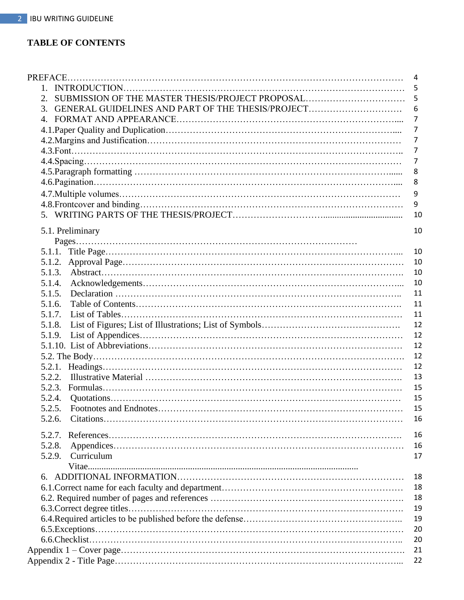## **TABLE OF CONTENTS**

|                                                        | $\overline{4}$ |
|--------------------------------------------------------|----------------|
|                                                        | -5             |
| SUBMISSION OF THE MASTER THESIS/PROJECT PROPOSAL<br>2. | 5              |
| 3. GENERAL GUIDELINES AND PART OF THE THESIS/PROJECT   | 6              |
|                                                        | $\overline{7}$ |
|                                                        | $\overline{7}$ |
|                                                        | $\overline{7}$ |
|                                                        | $\overline{7}$ |
|                                                        | 7              |
|                                                        | 8              |
|                                                        | 8              |
|                                                        | 9              |
|                                                        | 9              |
|                                                        |                |
|                                                        | 10             |
| 5.1. Preliminary                                       | 10             |
|                                                        |                |
|                                                        | 10             |
|                                                        | 10             |
| 5.1.3.                                                 | 10             |
| 5.1.4.                                                 | 10             |
| 5.1.5.                                                 | 11             |
| 5.1.6.                                                 | 11             |
| 5.1.7.                                                 | 11             |
| 5.1.8.                                                 | 12             |
| 5.1.9.                                                 | 12             |
|                                                        | 12             |
|                                                        | 12             |
|                                                        | 12             |
| 5.2.2.                                                 | 13             |
|                                                        |                |
| 5.2.3.                                                 | 15             |
| 5.2.4.                                                 | 15             |
| 5.2.5.                                                 | 15             |
| 5.2.6.                                                 | 16             |
| 5.2.7.                                                 | 16             |
| 5.2.8.                                                 | 16             |
| Curriculum<br>5.2.9.                                   | 17             |
|                                                        |                |
|                                                        | 18             |
|                                                        | 18             |
|                                                        | 18             |
|                                                        | 19             |
|                                                        | 19             |
|                                                        | 20             |
|                                                        |                |
|                                                        | 20             |
|                                                        | 21             |
|                                                        | 22             |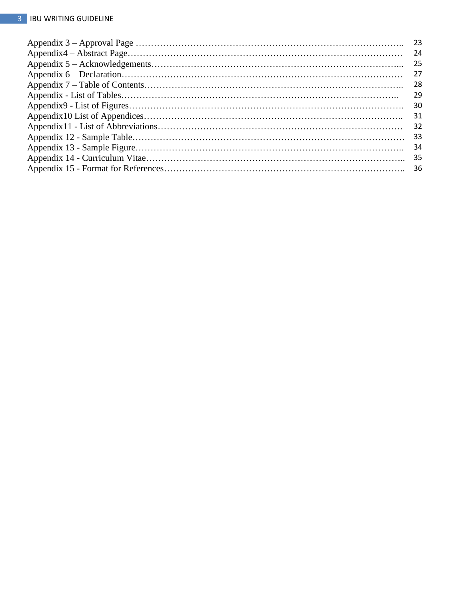| -24 |
|-----|
| -25 |
| 27  |
| -28 |
| 29  |
| 30  |
| 31  |
| -32 |
| -33 |
| 34  |
|     |
|     |
|     |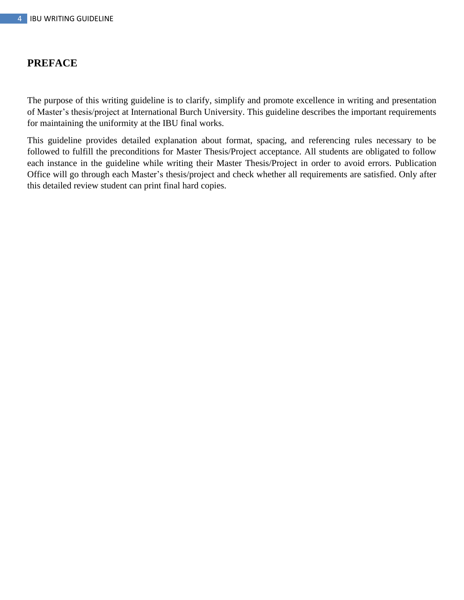## **PREFACE**

The purpose of this writing guideline is to clarify, simplify and promote excellence in writing and presentation of Master's thesis/project at International Burch University. This guideline describes the important requirements for maintaining the uniformity at the IBU final works.

This guideline provides detailed explanation about format, spacing, and referencing rules necessary to be followed to fulfill the preconditions for Master Thesis/Project acceptance. All students are obligated to follow each instance in the guideline while writing their Master Thesis/Project in order to avoid errors. Publication Office will go through each Master's thesis/project and check whether all requirements are satisfied. Only after this detailed review student can print final hard copies.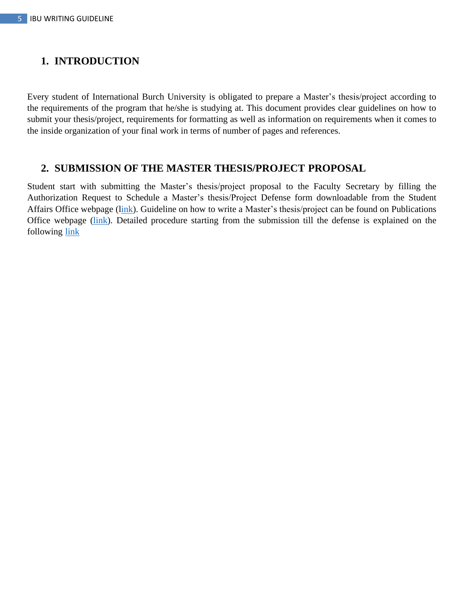## **1. INTRODUCTION**

Every student of International Burch University is obligated to prepare a Master's thesis/project according to the requirements of the program that he/she is studying at. This document provides clear guidelines on how to submit your thesis/project, requirements for formatting as well as information on requirements when it comes to the inside organization of your final work in terms of number of pages and references.

## **2. SUBMISSION OF THE MASTER THESIS/PROJECT PROPOSAL**

Student start with submitting the Master's thesis/project proposal to the Faculty Secretary by filling the Authorization Request to Schedule a Master's thesis/Project Defense form downloadable from the Student Affairs Office webpage ([link\)](https://www.ibu.edu.ba/assets/userfiles/studentaffairs/forme-II-ciklus/sao_4_6_0_eng_authorization_request_to_schedule_final_work_defense.pdf). Guideline on how to write a Master's thesis/project can be found on Publications Office webpage [\(link\)](https://publications.ibu.edu.ba/assets/userfiles/publicationoffice/documents/po_3_3_0_eng_master_s_thesis_project_proposal_guide.pdf). Detailed procedure starting from the submission till the defense is explained on the following [link](https://www.ibu.edu.ba/assets/userfiles/studentaffairs/ii_cycle_2_years_with_master_thesis.pdf)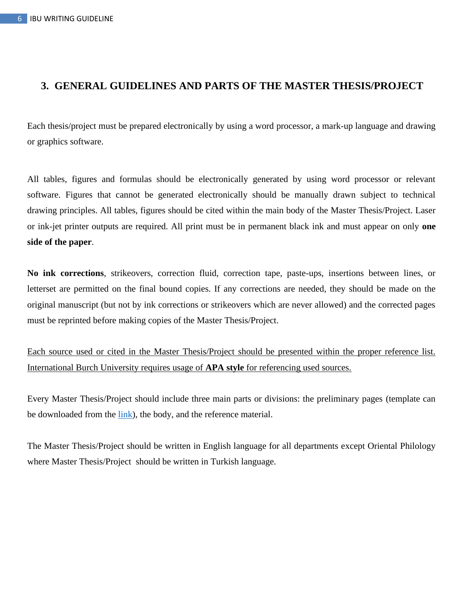## **3. GENERAL GUIDELINES AND PARTS OF THE MASTER THESIS/PROJECT**

Each thesis/project must be prepared electronically by using a word processor, a mark-up language and drawing or graphics software.

All tables, figures and formulas should be electronically generated by using word processor or relevant software. Figures that cannot be generated electronically should be manually drawn subject to technical drawing principles. All tables, figures should be cited within the main body of the Master Thesis/Project. Laser or ink-jet printer outputs are required. All print must be in permanent black ink and must appear on only **one side of the paper**.

**No ink corrections**, strikeovers, correction fluid, correction tape, paste-ups, insertions between lines, or letterset are permitted on the final bound copies. If any corrections are needed, they should be made on the original manuscript (but not by ink corrections or strikeovers which are never allowed) and the corrected pages must be reprinted before making copies of the Master Thesis/Project.

Each source used or cited in the Master Thesis/Project should be presented within the proper reference list. International Burch University requires usage of **APA style** for referencing used sources.

Every Master Thesis/Project should include three main parts or divisions: the preliminary pages (template can be downloaded from the [link\)](https://publications.ibu.edu.ba/en/standards-and-guides.html), the body, and the reference material.

The Master Thesis/Project should be written in English language for all departments except Oriental Philology where Master Thesis/Project should be written in Turkish language.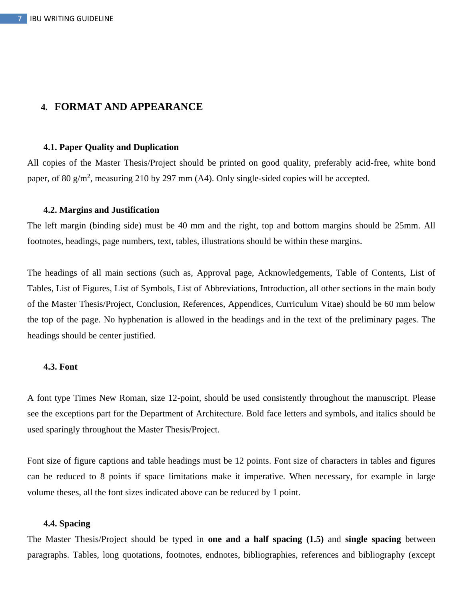### **4. FORMAT AND APPEARANCE**

#### **4.1. Paper Quality and Duplication**

All copies of the Master Thesis/Project should be printed on good quality, preferably acid-free, white bond paper, of 80  $g/m^2$ , measuring 210 by 297 mm (A4). Only single-sided copies will be accepted.

#### **4.2. Margins and Justification**

The left margin (binding side) must be 40 mm and the right, top and bottom margins should be 25mm. All footnotes, headings, page numbers, text, tables, illustrations should be within these margins.

The headings of all main sections (such as, Approval page, Acknowledgements, Table of Contents, List of Tables, List of Figures, List of Symbols, List of Abbreviations, Introduction, all other sections in the main body of the Master Thesis/Project, Conclusion, References, Appendices, Curriculum Vitae) should be 60 mm below the top of the page. No hyphenation is allowed in the headings and in the text of the preliminary pages. The headings should be center justified.

#### **4.3. Font**

A font type Times New Roman, size 12-point, should be used consistently throughout the manuscript. Please see the exceptions part for the Department of Architecture. Bold face letters and symbols, and italics should be used sparingly throughout the Master Thesis/Project.

Font size of figure captions and table headings must be 12 points. Font size of characters in tables and figures can be reduced to 8 points if space limitations make it imperative. When necessary, for example in large volume theses, all the font sizes indicated above can be reduced by 1 point.

#### **4.4. Spacing**

The Master Thesis/Project should be typed in **one and a half spacing (1.5)** and **single spacing** between paragraphs. Tables, long quotations, footnotes, endnotes, bibliographies, references and bibliography (except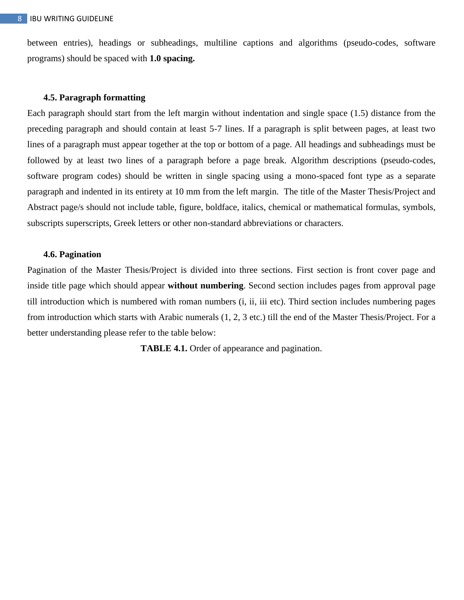between entries), headings or subheadings, multiline captions and algorithms (pseudo-codes, software programs) should be spaced with **1.0 spacing.**

#### **4.5. Paragraph formatting**

Each paragraph should start from the left margin without indentation and single space (1.5) distance from the preceding paragraph and should contain at least 5-7 lines. If a paragraph is split between pages, at least two lines of a paragraph must appear together at the top or bottom of a page. All headings and subheadings must be followed by at least two lines of a paragraph before a page break. Algorithm descriptions (pseudo-codes, software program codes) should be written in single spacing using a mono-spaced font type as a separate paragraph and indented in its entirety at 10 mm from the left margin. The title of the Master Thesis/Project and Abstract page/s should not include table, figure, boldface, italics, chemical or mathematical formulas, symbols, subscripts superscripts, Greek letters or other non-standard abbreviations or characters.

#### **4.6. Pagination**

Pagination of the Master Thesis/Project is divided into three sections. First section is front cover page and inside title page which should appear **without numbering**. Second section includes pages from approval page till introduction which is numbered with roman numbers (i, ii, iii etc). Third section includes numbering pages from introduction which starts with Arabic numerals (1, 2, 3 etc.) till the end of the Master Thesis/Project. For a better understanding please refer to the table below:

**TABLE 4.1.** Order of appearance and pagination.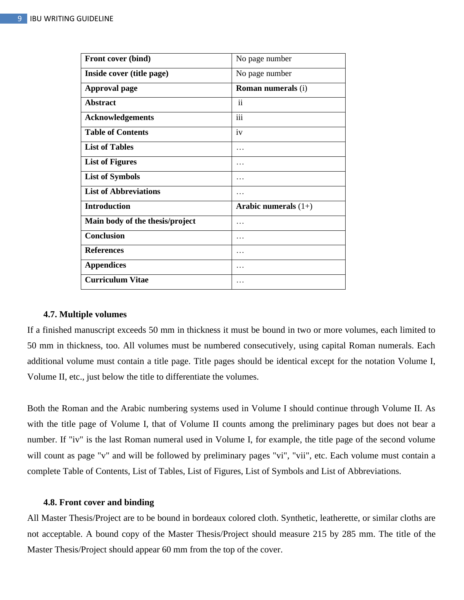| Front cover (bind)              | No page number            |
|---------------------------------|---------------------------|
| Inside cover (title page)       | No page number            |
| <b>Approval page</b>            | <b>Roman numerals (i)</b> |
| <b>Abstract</b>                 | $\ddot{\rm n}$            |
| <b>Acknowledgements</b>         | iii                       |
| <b>Table of Contents</b>        | iv                        |
| <b>List of Tables</b>           | .                         |
| <b>List of Figures</b>          |                           |
| <b>List of Symbols</b>          | .                         |
| <b>List of Abbreviations</b>    | .                         |
| <b>Introduction</b>             | Arabic numerals $(1+)$    |
| Main body of the thesis/project | .                         |
| <b>Conclusion</b>               | .                         |
| <b>References</b>               | .                         |
| <b>Appendices</b>               | .                         |
| <b>Curriculum Vitae</b>         | .                         |

#### **4.7. Multiple volumes**

If a finished manuscript exceeds 50 mm in thickness it must be bound in two or more volumes, each limited to 50 mm in thickness, too. All volumes must be numbered consecutively, using capital Roman numerals. Each additional volume must contain a title page. Title pages should be identical except for the notation Volume I, Volume II, etc., just below the title to differentiate the volumes.

Both the Roman and the Arabic numbering systems used in Volume I should continue through Volume II. As with the title page of Volume I, that of Volume II counts among the preliminary pages but does not bear a number. If "iv" is the last Roman numeral used in Volume I, for example, the title page of the second volume will count as page "v" and will be followed by preliminary pages "vi", "vii", etc. Each volume must contain a complete Table of Contents, List of Tables, List of Figures, List of Symbols and List of Abbreviations.

#### **4.8. Front cover and binding**

All Master Thesis/Project are to be bound in bordeaux colored cloth. Synthetic, leatherette, or similar cloths are not acceptable. A bound copy of the Master Thesis/Project should measure 215 by 285 mm. The title of the Master Thesis/Project should appear 60 mm from the top of the cover.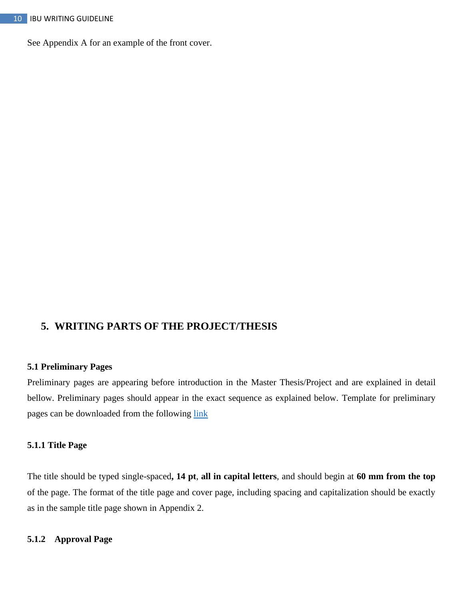See Appendix A for an example of the front cover.

## **5. WRITING PARTS OF THE PROJECT/THESIS**

### **5.1 Preliminary Pages**

Preliminary pages are appearing before introduction in the Master Thesis/Project and are explained in detail bellow. Preliminary pages should appear in the exact sequence as explained below. Template for preliminary pages can be downloaded from the following [link](https://publications.ibu.edu.ba/en/standards-and-guides.html)

### **5.1.1 Title Page**

The title should be typed single-spaced**, 14 pt**, **all in capital letters**, and should begin at **60 mm from the top** of the page. The format of the title page and cover page, including spacing and capitalization should be exactly as in the sample title page shown in Appendix 2.

### **5.1.2 Approval Page**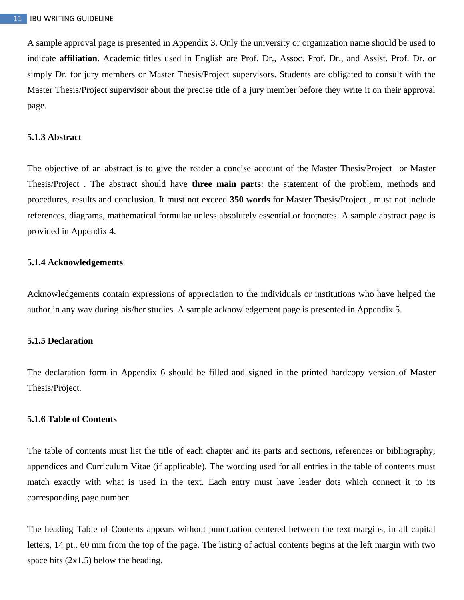A sample approval page is presented in Appendix 3. Only the university or organization name should be used to indicate **affiliation**. Academic titles used in English are Prof. Dr., Assoc. Prof. Dr., and Assist. Prof. Dr. or simply Dr. for jury members or Master Thesis/Project supervisors. Students are obligated to consult with the Master Thesis/Project supervisor about the precise title of a jury member before they write it on their approval page.

#### **5.1.3 Abstract**

The objective of an abstract is to give the reader a concise account of the Master Thesis/Project or Master Thesis/Project . The abstract should have **three main parts**: the statement of the problem, methods and procedures, results and conclusion. It must not exceed **350 words** for Master Thesis/Project , must not include references, diagrams, mathematical formulae unless absolutely essential or footnotes. A sample abstract page is provided in Appendix 4.

#### **5.1.4 Acknowledgements**

Acknowledgements contain expressions of appreciation to the individuals or institutions who have helped the author in any way during his/her studies. A sample acknowledgement page is presented in Appendix 5.

#### **5.1.5 Declaration**

The declaration form in Appendix 6 should be filled and signed in the printed hardcopy version of Master Thesis/Project.

#### **5.1.6 Table of Contents**

The table of contents must list the title of each chapter and its parts and sections, references or bibliography, appendices and Curriculum Vitae (if applicable). The wording used for all entries in the table of contents must match exactly with what is used in the text. Each entry must have leader dots which connect it to its corresponding page number.

The heading Table of Contents appears without punctuation centered between the text margins, in all capital letters, 14 pt., 60 mm from the top of the page. The listing of actual contents begins at the left margin with two space hits  $(2x1.5)$  below the heading.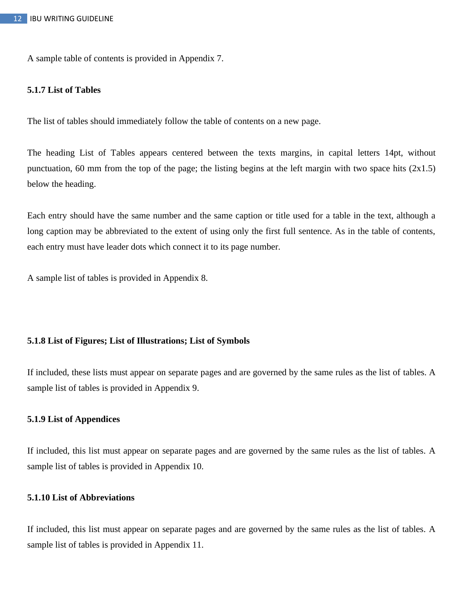A sample table of contents is provided in Appendix 7.

#### **5.1.7 List of Tables**

The list of tables should immediately follow the table of contents on a new page.

The heading List of Tables appears centered between the texts margins, in capital letters 14pt, without punctuation, 60 mm from the top of the page; the listing begins at the left margin with two space hits (2x1.5) below the heading.

Each entry should have the same number and the same caption or title used for a table in the text, although a long caption may be abbreviated to the extent of using only the first full sentence. As in the table of contents, each entry must have leader dots which connect it to its page number.

A sample list of tables is provided in Appendix 8.

#### **5.1.8 List of Figures; List of Illustrations; List of Symbols**

If included, these lists must appear on separate pages and are governed by the same rules as the list of tables. A sample list of tables is provided in Appendix 9.

### **5.1.9 List of Appendices**

If included, this list must appear on separate pages and are governed by the same rules as the list of tables. A sample list of tables is provided in Appendix 10.

### **5.1.10 List of Abbreviations**

If included, this list must appear on separate pages and are governed by the same rules as the list of tables. A sample list of tables is provided in Appendix 11.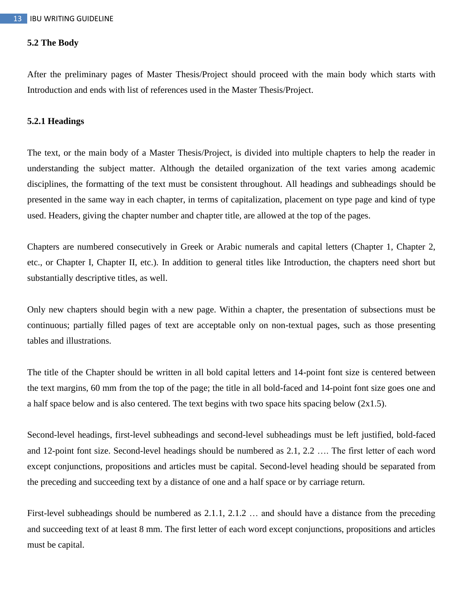#### **5.2 The Body**

After the preliminary pages of Master Thesis/Project should proceed with the main body which starts with Introduction and ends with list of references used in the Master Thesis/Project.

#### **5.2.1 Headings**

The text, or the main body of a Master Thesis/Project, is divided into multiple chapters to help the reader in understanding the subject matter. Although the detailed organization of the text varies among academic disciplines, the formatting of the text must be consistent throughout. All headings and subheadings should be presented in the same way in each chapter, in terms of capitalization, placement on type page and kind of type used. Headers, giving the chapter number and chapter title, are allowed at the top of the pages.

Chapters are numbered consecutively in Greek or Arabic numerals and capital letters (Chapter 1, Chapter 2, etc., or Chapter I, Chapter II, etc.). In addition to general titles like Introduction, the chapters need short but substantially descriptive titles, as well.

Only new chapters should begin with a new page. Within a chapter, the presentation of subsections must be continuous; partially filled pages of text are acceptable only on non-textual pages, such as those presenting tables and illustrations.

The title of the Chapter should be written in all bold capital letters and 14-point font size is centered between the text margins, 60 mm from the top of the page; the title in all bold-faced and 14-point font size goes one and a half space below and is also centered. The text begins with two space hits spacing below (2x1.5).

Second-level headings, first-level subheadings and second-level subheadings must be left justified, bold-faced and 12-point font size. Second-level headings should be numbered as 2.1, 2.2 …. The first letter of each word except conjunctions, propositions and articles must be capital. Second-level heading should be separated from the preceding and succeeding text by a distance of one and a half space or by carriage return.

First-level subheadings should be numbered as 2.1.1, 2.1.2 … and should have a distance from the preceding and succeeding text of at least 8 mm. The first letter of each word except conjunctions, propositions and articles must be capital.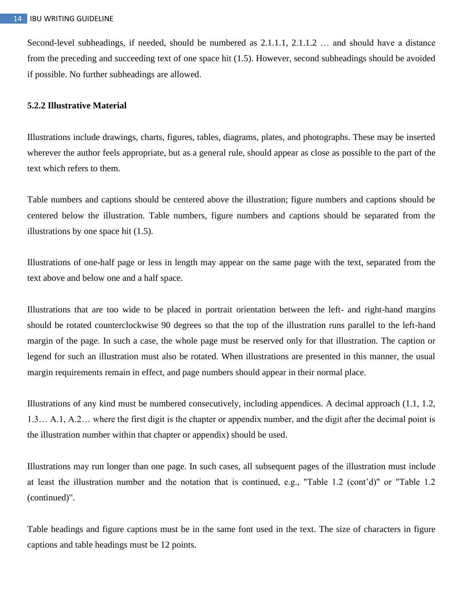Second-level subheadings, if needed, should be numbered as 2.1.1.1, 2.1.1.2 … and should have a distance from the preceding and succeeding text of one space hit (1.5). However, second subheadings should be avoided if possible. No further subheadings are allowed.

#### **5.2.2 Illustrative Material**

Illustrations include drawings, charts, figures, tables, diagrams, plates, and photographs. These may be inserted wherever the author feels appropriate, but as a general rule, should appear as close as possible to the part of the text which refers to them.

Table numbers and captions should be centered above the illustration; figure numbers and captions should be centered below the illustration. Table numbers, figure numbers and captions should be separated from the illustrations by one space hit (1.5).

Illustrations of one-half page or less in length may appear on the same page with the text, separated from the text above and below one and a half space.

Illustrations that are too wide to be placed in portrait orientation between the left- and right-hand margins should be rotated counterclockwise 90 degrees so that the top of the illustration runs parallel to the left-hand margin of the page. In such a case, the whole page must be reserved only for that illustration. The caption or legend for such an illustration must also be rotated. When illustrations are presented in this manner, the usual margin requirements remain in effect, and page numbers should appear in their normal place.

Illustrations of any kind must be numbered consecutively, including appendices. A decimal approach (1.1, 1.2, 1.3… A.1, A.2… where the first digit is the chapter or appendix number, and the digit after the decimal point is the illustration number within that chapter or appendix) should be used.

Illustrations may run longer than one page. In such cases, all subsequent pages of the illustration must include at least the illustration number and the notation that is continued, e.g., "Table 1.2 (cont'd)" or "Table 1.2 (continued)".

Table headings and figure captions must be in the same font used in the text. The size of characters in figure captions and table headings must be 12 points.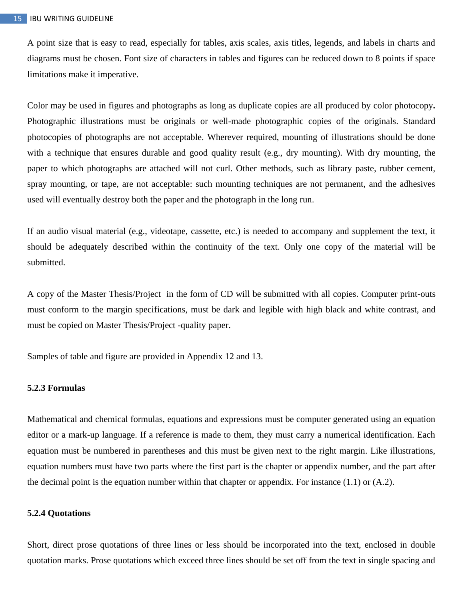A point size that is easy to read, especially for tables, axis scales, axis titles, legends, and labels in charts and diagrams must be chosen. Font size of characters in tables and figures can be reduced down to 8 points if space limitations make it imperative.

Color may be used in figures and photographs as long as duplicate copies are all produced by color photocopy*.* Photographic illustrations must be originals or well-made photographic copies of the originals. Standard photocopies of photographs are not acceptable. Wherever required, mounting of illustrations should be done with a technique that ensures durable and good quality result (e.g., dry mounting). With dry mounting, the paper to which photographs are attached will not curl. Other methods, such as library paste, rubber cement, spray mounting, or tape, are not acceptable: such mounting techniques are not permanent, and the adhesives used will eventually destroy both the paper and the photograph in the long run.

If an audio visual material (e.g., videotape, cassette, etc.) is needed to accompany and supplement the text, it should be adequately described within the continuity of the text. Only one copy of the material will be submitted.

A copy of the Master Thesis/Project in the form of CD will be submitted with all copies. Computer print-outs must conform to the margin specifications, must be dark and legible with high black and white contrast, and must be copied on Master Thesis/Project -quality paper.

Samples of table and figure are provided in Appendix 12 and 13.

#### **5.2.3 Formulas**

Mathematical and chemical formulas, equations and expressions must be computer generated using an equation editor or a mark-up language. If a reference is made to them, they must carry a numerical identification. Each equation must be numbered in parentheses and this must be given next to the right margin. Like illustrations, equation numbers must have two parts where the first part is the chapter or appendix number, and the part after the decimal point is the equation number within that chapter or appendix. For instance  $(1.1)$  or  $(A.2)$ .

#### **5.2.4 Quotations**

Short, direct prose quotations of three lines or less should be incorporated into the text, enclosed in double quotation marks. Prose quotations which exceed three lines should be set off from the text in single spacing and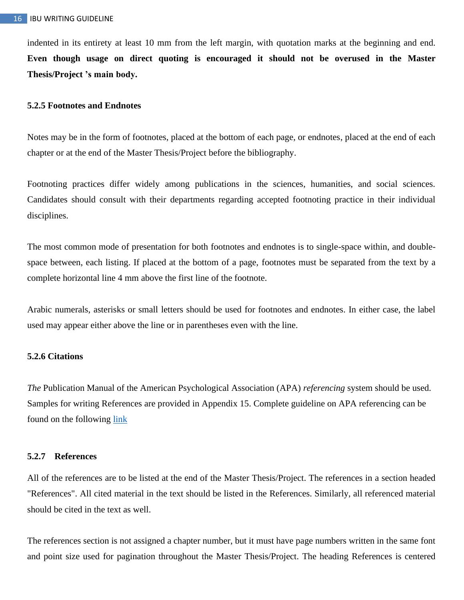indented in its entirety at least 10 mm from the left margin, with quotation marks at the beginning and end. **Even though usage on direct quoting is encouraged it should not be overused in the Master Thesis/Project 's main body.**

### **5.2.5 Footnotes and Endnotes**

Notes may be in the form of footnotes, placed at the bottom of each page, or endnotes, placed at the end of each chapter or at the end of the Master Thesis/Project before the bibliography.

Footnoting practices differ widely among publications in the sciences, humanities, and social sciences. Candidates should consult with their departments regarding accepted footnoting practice in their individual disciplines.

The most common mode of presentation for both footnotes and endnotes is to single-space within, and doublespace between, each listing. If placed at the bottom of a page, footnotes must be separated from the text by a complete horizontal line 4 mm above the first line of the footnote.

Arabic numerals, asterisks or small letters should be used for footnotes and endnotes. In either case, the label used may appear either above the line or in parentheses even with the line.

#### **5.2.6 Citations**

*The* Publication Manual of the American Psychological Association (APA) *referencing* system should be used. Samples for writing References are provided in Appendix 15. Complete guideline on APA referencing can be found on the following [link](https://publications.ibu.edu.ba/assets/userfiles/publicationoffice/documents/ACADEMIC%20REFERENCING%20GUIDE%20FINAL%20VERSION.pdf)

#### **5.2.7 References**

All of the references are to be listed at the end of the Master Thesis/Project. The references in a section headed "References". All cited material in the text should be listed in the References. Similarly, all referenced material should be cited in the text as well.

The references section is not assigned a chapter number, but it must have page numbers written in the same font and point size used for pagination throughout the Master Thesis/Project. The heading References is centered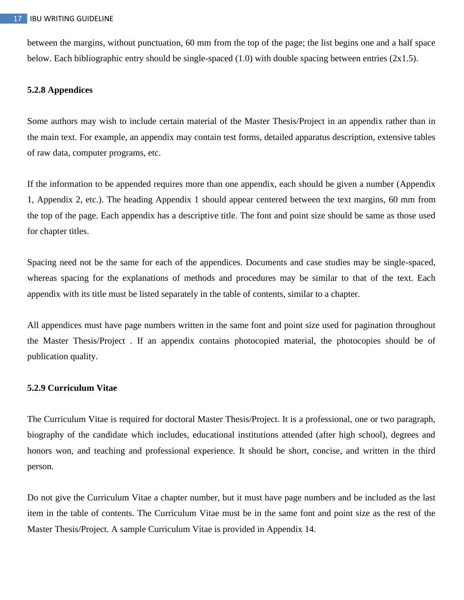between the margins, without punctuation, 60 mm from the top of the page; the list begins one and a half space below. Each bibliographic entry should be single-spaced (1.0) with double spacing between entries (2x1.5).

### **5.2.8 Appendices**

Some authors may wish to include certain material of the Master Thesis/Project in an appendix rather than in the main text. For example, an appendix may contain test forms, detailed apparatus description, extensive tables of raw data, computer programs, etc.

If the information to be appended requires more than one appendix, each should be given a number (Appendix 1, Appendix 2, etc.). The heading Appendix 1 should appear centered between the text margins, 60 mm from the top of the page. Each appendix has a descriptive title. The font and point size should be same as those used for chapter titles.

Spacing need not be the same for each of the appendices. Documents and case studies may be single-spaced, whereas spacing for the explanations of methods and procedures may be similar to that of the text. Each appendix with its title must be listed separately in the table of contents, similar to a chapter.

All appendices must have page numbers written in the same font and point size used for pagination throughout the Master Thesis/Project . If an appendix contains photocopied material, the photocopies should be of publication quality.

### **5.2.9 Curriculum Vitae**

The Curriculum Vitae is required for doctoral Master Thesis/Project. It is a professional, one or two paragraph, biography of the candidate which includes, educational institutions attended (after high school), degrees and honors won, and teaching and professional experience. It should be short, concise, and written in the third person.

Do not give the Curriculum Vitae a chapter number, but it must have page numbers and be included as the last item in the table of contents. The Curriculum Vitae must be in the same font and point size as the rest of the Master Thesis/Project. A sample Curriculum Vitae is provided in Appendix 14.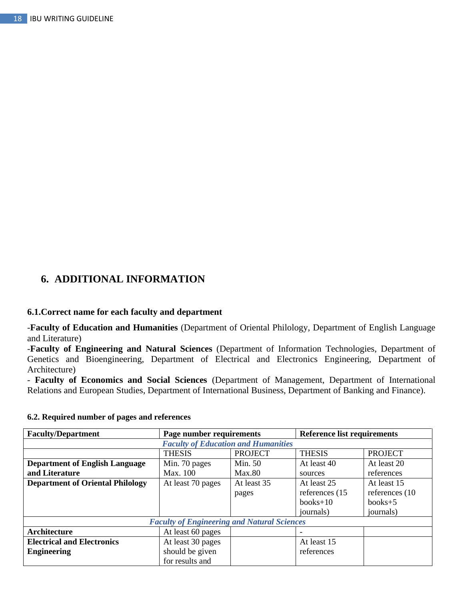## **6. ADDITIONAL INFORMATION**

### **6.1.Correct name for each faculty and department**

-**Faculty of Education and Humanities** (Department of Oriental Philology, Department of English Language and Literature)

-**Faculty of Engineering and Natural Sciences** (Department of Information Technologies, Department of Genetics and Bioengineering, Department of Electrical and Electronics Engineering, Department of Architecture)

- **Faculty of Economics and Social Sciences** (Department of Management, Department of International Relations and European Studies, Department of International Business, Department of Banking and Finance).

| <b>Faculty/Department</b>                          | Page number requirements                   |                | <b>Reference list requirements</b> |                 |
|----------------------------------------------------|--------------------------------------------|----------------|------------------------------------|-----------------|
|                                                    | <b>Faculty of Education and Humanities</b> |                |                                    |                 |
|                                                    | <b>THESIS</b>                              | <b>PROJECT</b> | <b>THESIS</b>                      | <b>PROJECT</b>  |
| <b>Department of English Language</b>              | Min. 70 pages                              | Min. 50        | At least 40                        | At least 20     |
| and Literature                                     | Max. 100                                   | <b>Max.80</b>  | sources                            | references      |
| <b>Department of Oriental Philology</b>            | At least 70 pages                          | At least 35    | At least 25                        | At least 15     |
|                                                    |                                            | pages          | references (15)                    | references (10) |
|                                                    |                                            |                | $books+10$                         | $books+5$       |
|                                                    |                                            |                | journals)                          | journals)       |
| <b>Faculty of Engineering and Natural Sciences</b> |                                            |                |                                    |                 |
| Architecture                                       | At least 60 pages                          |                |                                    |                 |
| <b>Electrical and Electronics</b>                  | At least 30 pages                          |                | At least 15                        |                 |
| <b>Engineering</b>                                 | should be given                            |                | references                         |                 |
|                                                    | for results and                            |                |                                    |                 |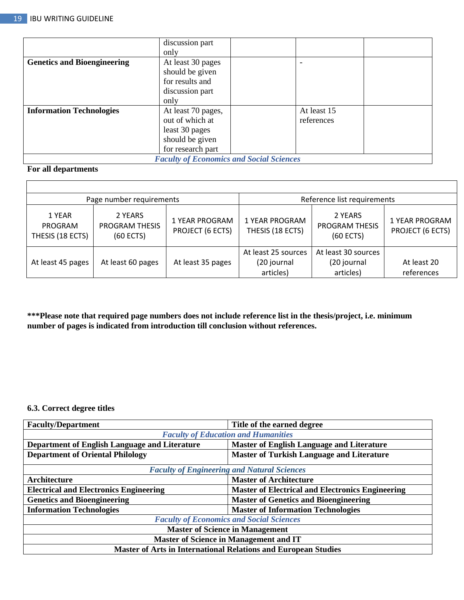|                                                 | discussion part    |             |  |
|-------------------------------------------------|--------------------|-------------|--|
|                                                 | only               |             |  |
| <b>Genetics and Bioengineering</b>              | At least 30 pages  |             |  |
|                                                 | should be given    |             |  |
|                                                 | for results and    |             |  |
|                                                 | discussion part    |             |  |
|                                                 | only               |             |  |
| <b>Information Technologies</b>                 | At least 70 pages, | At least 15 |  |
|                                                 | out of which at    | references  |  |
|                                                 | least 30 pages     |             |  |
|                                                 | should be given    |             |  |
|                                                 | for research part  |             |  |
| <b>Faculty of Economics and Social Sciences</b> |                    |             |  |

### **For all departments**

 $\overline{\Gamma}$ 

| Page number requirements              |                                                 | Reference list requirements               |                                                 |                                                 |                                    |
|---------------------------------------|-------------------------------------------------|-------------------------------------------|-------------------------------------------------|-------------------------------------------------|------------------------------------|
| 1 YEAR<br>PROGRAM<br>THESIS (18 ECTS) | 2 YEARS<br><b>PROGRAM THESIS</b><br>$(60$ ECTS) | <b>1 YEAR PROGRAM</b><br>PROJECT (6 ECTS) | 1 YEAR PROGRAM<br>THESIS (18 ECTS)              | 2 YEARS<br><b>PROGRAM THESIS</b><br>(60 ECTS)   | 1 YEAR PROGRAM<br>PROJECT (6 ECTS) |
| At least 45 pages                     | At least 60 pages                               | At least 35 pages                         | At least 25 sources<br>(20 journal<br>articles) | At least 30 sources<br>(20 journal<br>articles) | At least 20<br>references          |

**\*\*\*Please note that required page numbers does not include reference list in the thesis/project, i.e. minimum number of pages is indicated from introduction till conclusion without references.** 

### **6.3. Correct degree titles**

| <b>Faculty/Department</b>                                             | Title of the earned degree                              |  |  |  |
|-----------------------------------------------------------------------|---------------------------------------------------------|--|--|--|
|                                                                       | <b>Faculty of Education and Humanities</b>              |  |  |  |
| Department of English Language and Literature                         | <b>Master of English Language and Literature</b>        |  |  |  |
| <b>Department of Oriental Philology</b>                               | <b>Master of Turkish Language and Literature</b>        |  |  |  |
| <b>Faculty of Engineering and Natural Sciences</b>                    |                                                         |  |  |  |
| Architecture                                                          | <b>Master of Architecture</b>                           |  |  |  |
| <b>Electrical and Electronics Engineering</b>                         | <b>Master of Electrical and Electronics Engineering</b> |  |  |  |
| <b>Genetics and Bioengineering</b>                                    | <b>Master of Genetics and Bioengineering</b>            |  |  |  |
| <b>Information Technologies</b>                                       | <b>Master of Information Technologies</b>               |  |  |  |
| <b>Faculty of Economics and Social Sciences</b>                       |                                                         |  |  |  |
| <b>Master of Science in Management</b>                                |                                                         |  |  |  |
| <b>Master of Science in Management and IT</b>                         |                                                         |  |  |  |
| <b>Master of Arts in International Relations and European Studies</b> |                                                         |  |  |  |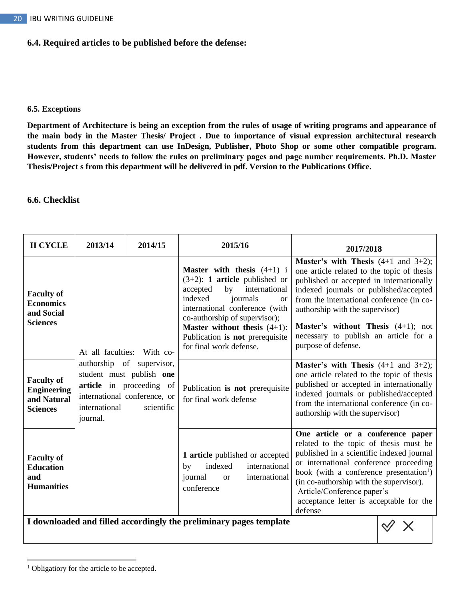### **6.4. Required articles to be published before the defense:**

#### **6.5. Exceptions**

**Department of Architecture is being an exception from the rules of usage of writing programs and appearance of the main body in the Master Thesis/ Project . Due to importance of visual expression architectural research students from this department can use InDesign, Publisher, Photo Shop or some other compatible program. However, students' needs to follow the rules on preliminary pages and page number requirements. Ph.D. Master Thesis/Project s from this department will be delivered in pdf. Version to the Publications Office.** 

#### **6.6. Checklist**

| <b>Master's with Thesis</b> $(4+1$ and $3+2)$ ;<br><b>Master with thesis</b> $(4+1)$ i<br>one article related to the topic of thesis<br>$(3+2)$ : <b>1 article</b> published or<br>published or accepted in internationally<br>international<br>accepted<br>by<br>indexed journals or published/accepted<br><b>Faculty of</b><br>indexed<br>journals<br>from the international conference (in co-<br><sub>or</sub><br><b>Economics</b><br>international conference (with<br>authorship with the supervisor)<br>and Social<br>co-authorship of supervisor);<br><b>Sciences</b><br><b>Master's without Thesis</b> $(4+1)$ ; not<br><b>Master without thesis</b> $(4+1)$ :<br>necessary to publish an article for a<br>Publication is not prerequisite<br>purpose of defense.<br>for final work defense.<br>At all faculties:<br>With co- | 2017/2018 |
|----------------------------------------------------------------------------------------------------------------------------------------------------------------------------------------------------------------------------------------------------------------------------------------------------------------------------------------------------------------------------------------------------------------------------------------------------------------------------------------------------------------------------------------------------------------------------------------------------------------------------------------------------------------------------------------------------------------------------------------------------------------------------------------------------------------------------------------|-----------|
|                                                                                                                                                                                                                                                                                                                                                                                                                                                                                                                                                                                                                                                                                                                                                                                                                                        |           |
| authorship of supervisor,<br><b>Master's with Thesis</b> $(4+1$ and $3+2)$ ;<br>student must publish one<br>one article related to the topic of thesis<br><b>Faculty of</b><br>published or accepted in internationally<br>article in proceeding of<br>Publication is not prerequisite<br><b>Engineering</b><br>indexed journals or published/accepted<br>international conference, or<br>and Natural<br>for final work defense<br>from the international conference (in co-<br>international<br>scientific<br><b>Sciences</b><br>authorship with the supervisor)<br>journal.                                                                                                                                                                                                                                                          |           |
| One article or a conference paper<br>related to the topic of thesis must be<br>published in a scientific indexed journal<br>1 article published or accepted<br><b>Faculty of</b><br>or international conference proceeding<br>indexed<br>international<br>by<br><b>Education</b><br>book (with a conference presentation <sup>1</sup> )<br>and<br>journal<br>international<br><b>or</b><br>(in co-authorship with the supervisor).<br><b>Humanities</b><br>conference<br>Article/Conference paper's<br>acceptance letter is acceptable for the<br>defense                                                                                                                                                                                                                                                                              |           |

**I downloaded and filled accordingly the preliminary pages template**  $\ket{\diamondsuit} \times$ 

<sup>&</sup>lt;sup>1</sup> Obligatiory for the article to be accepted.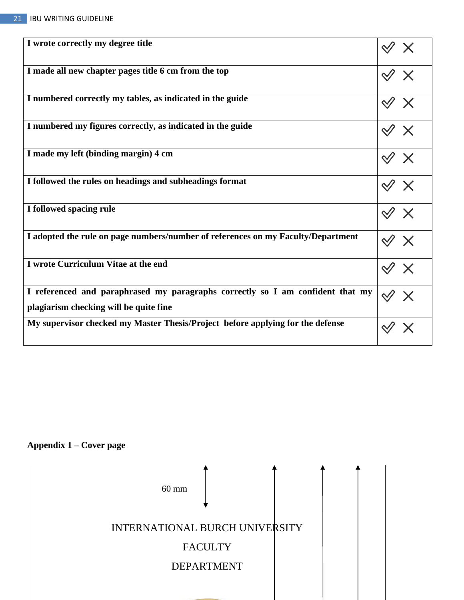| I wrote correctly my degree title                                                                                        |                                                                                                        |
|--------------------------------------------------------------------------------------------------------------------------|--------------------------------------------------------------------------------------------------------|
| I made all new chapter pages title 6 cm from the top                                                                     | $\mathcal{A} \times$                                                                                   |
| I numbered correctly my tables, as indicated in the guide                                                                | $\mathrel{\mathscr{A}} \mathrel{\mathsf{X}}$                                                           |
| I numbered my figures correctly, as indicated in the guide                                                               | $\mathcal{A} \times$                                                                                   |
| I made my left (binding margin) 4 cm                                                                                     | $\mathcal{A} \times$                                                                                   |
| I followed the rules on headings and subheadings format                                                                  | $\mathcal{A} \times$                                                                                   |
| I followed spacing rule                                                                                                  | $\mathcal{A} \times$                                                                                   |
| I adopted the rule on page numbers/number of references on my Faculty/Department                                         | $\mathrel{\mathop{\triangle}\hspace{0.5ex}\mathrel{\triangle}}\mathrel{\mathop{\times}\hspace{0.5ex}}$ |
| I wrote Curriculum Vitae at the end                                                                                      | $\mathrel{\mathop{\triangleleft}} \mathrel{\mathop{\times}}$                                           |
| I referenced and paraphrased my paragraphs correctly so I am confident that my<br>plagiarism checking will be quite fine |                                                                                                        |
| My supervisor checked my Master Thesis/Project before applying for the defense                                           |                                                                                                        |

## **Appendix 1 – Cover page**

| $60 \text{ mm}$                |                   |  |  |
|--------------------------------|-------------------|--|--|
| INTERNATIONAL BURCH UNIVERSITY |                   |  |  |
|                                | <b>FACULTY</b>    |  |  |
|                                | <b>DEPARTMENT</b> |  |  |
|                                |                   |  |  |
|                                |                   |  |  |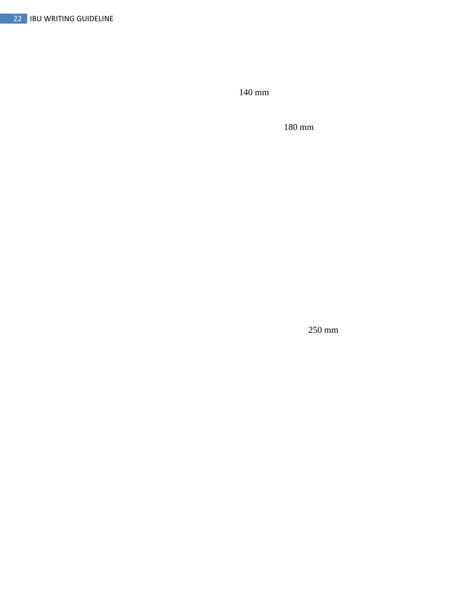140 mm

180 mm

250 mm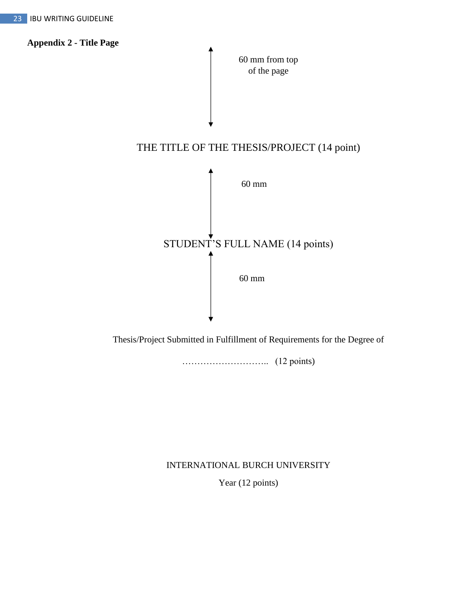

Thesis/Project Submitted in Fulfillment of Requirements for the Degree of

……………………….. (12 points)

INTERNATIONAL BURCH UNIVERSITY

Year (12 points)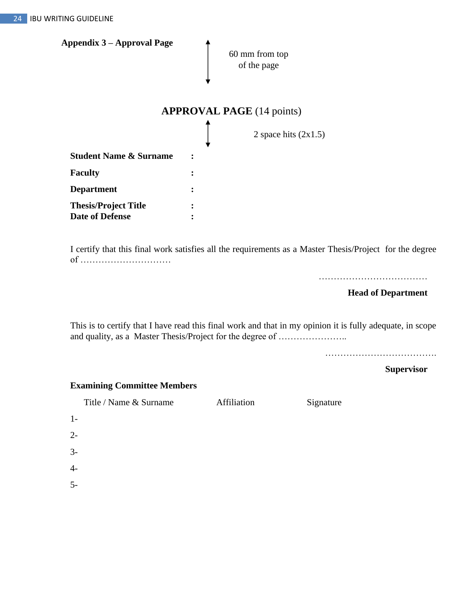| <b>Appendix 3 – Approval Page</b>                     | 60 mm from top<br>of the page    |
|-------------------------------------------------------|----------------------------------|
|                                                       | <b>APPROVAL PAGE</b> (14 points) |
|                                                       | 2 space hits $(2x1.5)$           |
| <b>Student Name &amp; Surname</b>                     |                                  |
| <b>Faculty</b>                                        |                                  |
| <b>Department</b>                                     |                                  |
| <b>Thesis/Project Title</b><br><b>Date of Defense</b> |                                  |

I certify that this final work satisfies all the requirements as a Master Thesis/Project for the degree of …………………………

………………………………

 **Head of Department**

This is to certify that I have read this final work and that in my opinion it is fully adequate, in scope and quality, as a Master Thesis/Project for the degree of …………………..

……………………………….

 **Supervisor**

|  | <b>Examining Committee Members</b> |  |
|--|------------------------------------|--|
|--|------------------------------------|--|

Title / Name & Surname Affiliation Signature

| $1-$ |  |  |
|------|--|--|
| $2-$ |  |  |
| $3-$ |  |  |
| $4-$ |  |  |
| $5-$ |  |  |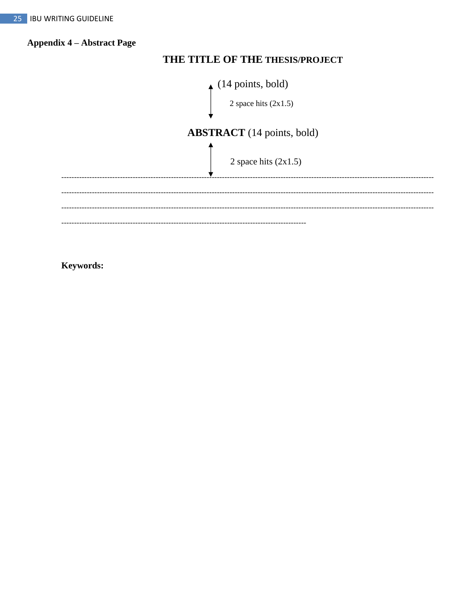**Appendix 4 - Abstract Page** 

## THE TITLE OF THE THESIS/PROJECT



Keywords: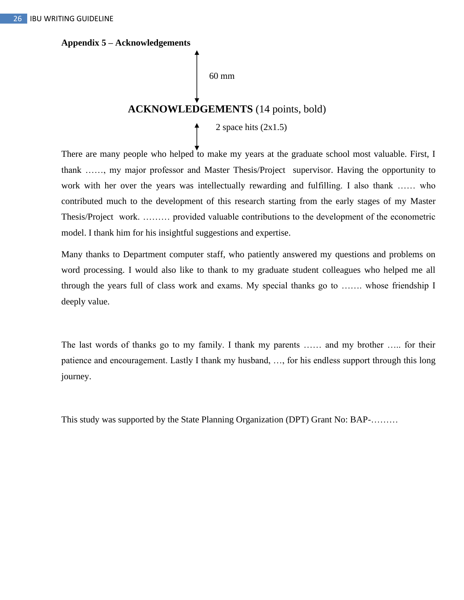#### **Appendix 5 – Acknowledgements**

60 mm

## **ACKNOWLEDGEMENTS** (14 points, bold)

2 space hits  $(2x1.5)$ 

There are many people who helped to make my years at the graduate school most valuable. First, I thank ……, my major professor and Master Thesis/Project supervisor. Having the opportunity to work with her over the years was intellectually rewarding and fulfilling. I also thank …… who contributed much to the development of this research starting from the early stages of my Master Thesis/Project work. ……… provided valuable contributions to the development of the econometric model. I thank him for his insightful suggestions and expertise.

Many thanks to Department computer staff, who patiently answered my questions and problems on word processing. I would also like to thank to my graduate student colleagues who helped me all through the years full of class work and exams. My special thanks go to ……. whose friendship I deeply value.

The last words of thanks go to my family. I thank my parents …… and my brother ….. for their patience and encouragement. Lastly I thank my husband, …, for his endless support through this long journey.

This study was supported by the State Planning Organization (DPT) Grant No: BAP-………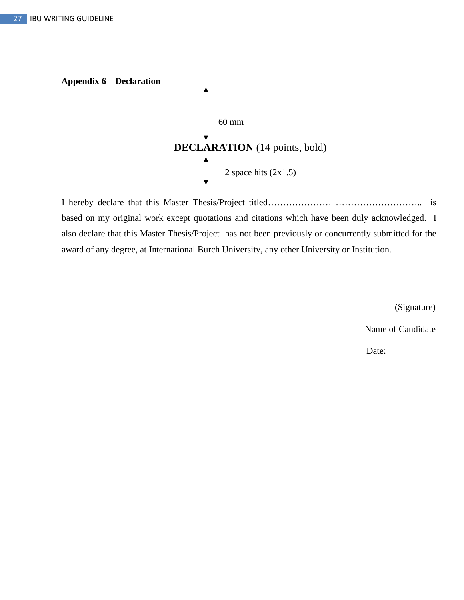

I hereby declare that this Master Thesis/Project titled………………… ……………………….. is based on my original work except quotations and citations which have been duly acknowledged. I also declare that this Master Thesis/Project has not been previously or concurrently submitted for the award of any degree, at International Burch University, any other University or Institution.

(Signature)

Name of Candidate

Date: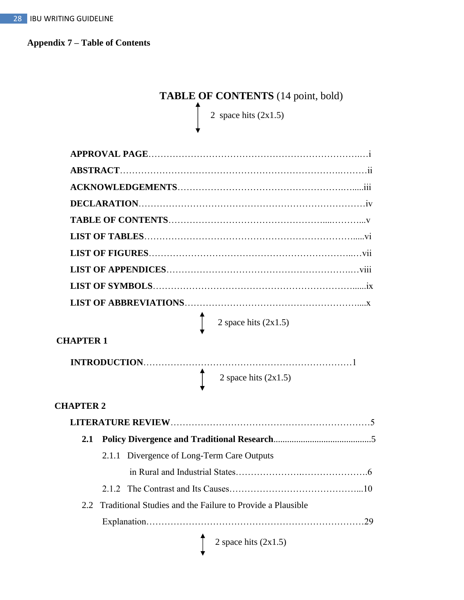**Appendix 7 – Table of Contents**

# **TABLE OF CONTENTS** (14 point, bold)

2 space hits  $(2x1.5)$ 

|                  | 2 space hits $(2x1.5)$                                                                                          |  |
|------------------|-----------------------------------------------------------------------------------------------------------------|--|
| <b>CHAPTER 1</b> |                                                                                                                 |  |
|                  | the contract of the contract of the contract of the contract of the contract of the contract of the contract of |  |

#### 2 space hits (2x1.5)  $\lceil$

## **CHAPTER 2**

| 2.1 |                                                                |
|-----|----------------------------------------------------------------|
|     | 2.1.1 Divergence of Long-Term Care Outputs                     |
|     |                                                                |
|     |                                                                |
|     | 2.2 Traditional Studies and the Failure to Provide a Plausible |
|     | 29                                                             |
|     | $\int 2 \text{ space hits } (2x1.5)$                           |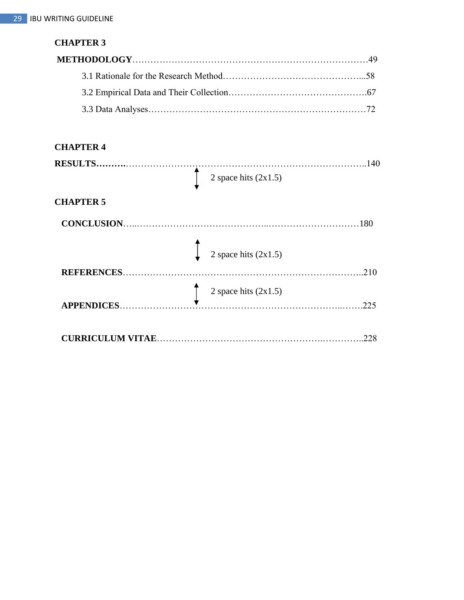## **CHAPTER 3**

### **CHAPTER 4**

| 2 space hits $(2x1.5)$<br>180 |
|-------------------------------|
|                               |
|                               |
| 2 space hits $(2x1.5)$        |
| 210                           |
|                               |
| 225                           |
|                               |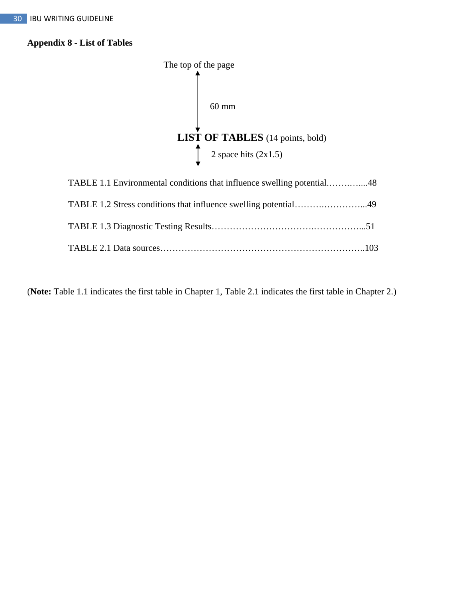## **Appendix 8 - List of Tables**



(**Note:** Table 1.1 indicates the first table in Chapter 1, Table 2.1 indicates the first table in Chapter 2.)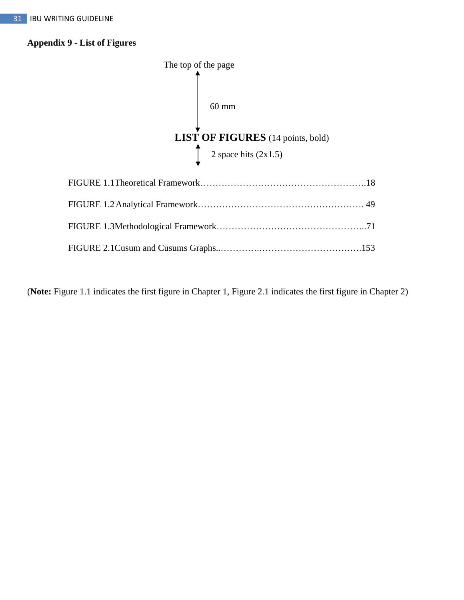## **Appendix 9 - List of Figures**



(**Note:** Figure 1.1 indicates the first figure in Chapter 1, Figure 2.1 indicates the first figure in Chapter 2)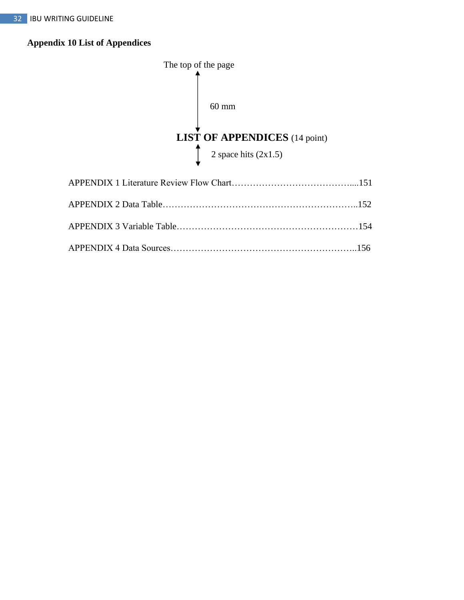## **Appendix 10 List of Appendices**

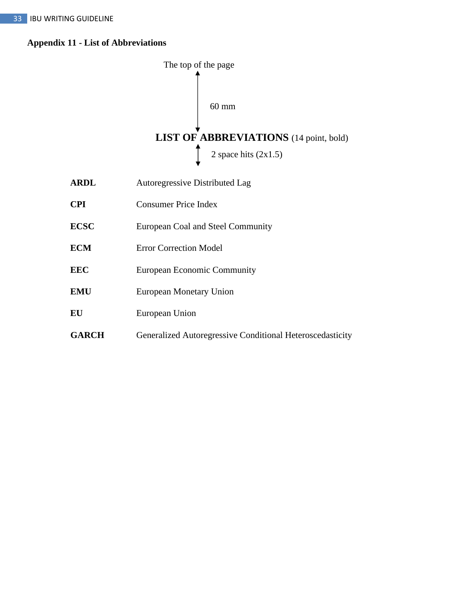## **Appendix 11 - List of Abbreviations**



| <b>ARDL</b>  | <b>Autoregressive Distributed Lag</b>                     |
|--------------|-----------------------------------------------------------|
| <b>CPI</b>   | <b>Consumer Price Index</b>                               |
| <b>ECSC</b>  | European Coal and Steel Community                         |
| <b>ECM</b>   | <b>Error Correction Model</b>                             |
| <b>EEC</b>   | <b>European Economic Community</b>                        |
| <b>EMU</b>   | European Monetary Union                                   |
| EU           | European Union                                            |
| <b>GARCH</b> | Generalized Autoregressive Conditional Heteroscedasticity |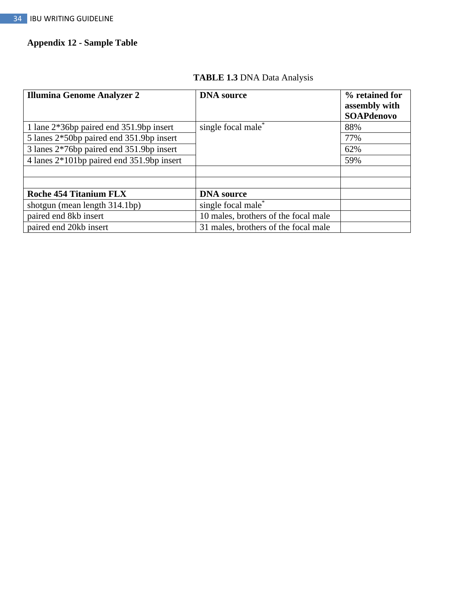## **Appendix 12 - Sample Table**

| <b>Illumina Genome Analyzer 2</b>         | <b>DNA</b> source                    | % retained for<br>assembly with<br><b>SOAPdenovo</b> |
|-------------------------------------------|--------------------------------------|------------------------------------------------------|
| 1 lane 2*36bp paired end 351.9bp insert   | single focal male*                   | 88%                                                  |
| 5 lanes 2*50bp paired end 351.9bp insert  |                                      | 77%                                                  |
| 3 lanes 2*76bp paired end 351.9bp insert  |                                      | 62%                                                  |
| 4 lanes 2*101bp paired end 351.9bp insert |                                      | 59%                                                  |
|                                           |                                      |                                                      |
|                                           |                                      |                                                      |
| <b>Roche 454 Titanium FLX</b>             | <b>DNA</b> source                    |                                                      |
| shotgun (mean length 314.1bp)             | single focal male <sup>*</sup>       |                                                      |
| paired end 8kb insert                     | 10 males, brothers of the focal male |                                                      |
| paired end 20kb insert                    | 31 males, brothers of the focal male |                                                      |

## **TABLE 1.3** DNA Data Analysis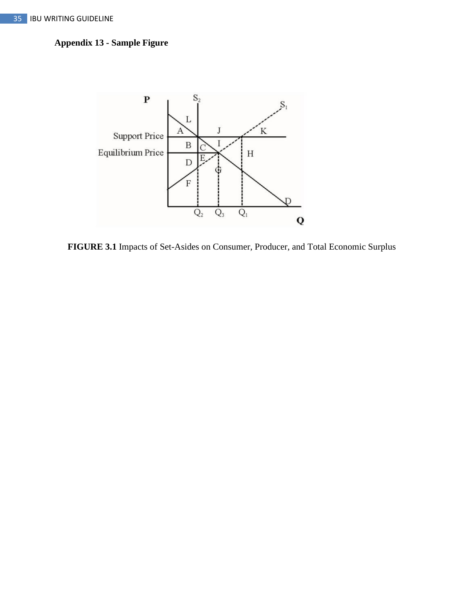## **Appendix 13 - Sample Figure**



**FIGURE 3.1** Impacts of Set-Asides on Consumer, Producer, and Total Economic Surplus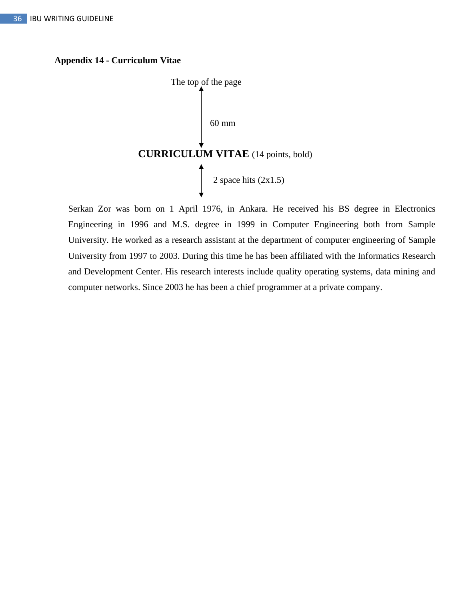### **Appendix 14 - Curriculum Vitae**



Serkan Zor was born on 1 April 1976, in Ankara. He received his BS degree in Electronics Engineering in 1996 and M.S. degree in 1999 in Computer Engineering both from Sample University. He worked as a research assistant at the department of computer engineering of Sample University from 1997 to 2003. During this time he has been affiliated with the Informatics Research and Development Center. His research interests include quality operating systems, data mining and computer networks. Since 2003 he has been a chief programmer at a private company.